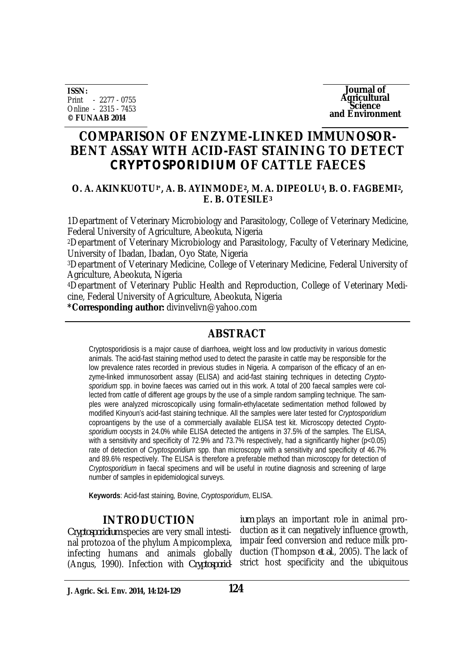**ISSN:** Print - 2277 - 0755 Online - 2315 - 7453 **© FUNAAB 2014**

**Journal of Agricultural Science and Environment**

## **COMPARISON OF ENZYME-LINKED IMMUNOSOR-BENT ASSAY WITH ACID-FAST STAINING TO DETECT**  *CRYPTOSPORIDIUM* **OF CATTLE FAECES**

#### **O. A. AKINKUOTU1\*, A. B. AYINMODE2, M. A. DIPEOLU4, B. O. FAGBEMI2, E. B. OTESILE<sup>3</sup>**

1Department of Veterinary Microbiology and Parasitology, College of Veterinary Medicine, Federal University of Agriculture, Abeokuta, Nigeria

<sup>2</sup>Department of Veterinary Microbiology and Parasitology, Faculty of Veterinary Medicine, University of Ibadan, Ibadan, Oyo State, Nigeria

<sup>3</sup>Department of Veterinary Medicine, College of Veterinary Medicine, Federal University of Agriculture, Abeokuta, Nigeria

4Department of Veterinary Public Health and Reproduction, College of Veterinary Medicine, Federal University of Agriculture, Abeokuta, Nigeria

**\*Corresponding author:** divinvelivn@yahoo.com

## **ABSTRACT**

Cryptosporidiosis is a major cause of diarrhoea, weight loss and low productivity in various domestic animals. The acid-fast staining method used to detect the parasite in cattle may be responsible for the low prevalence rates recorded in previous studies in Nigeria. A comparison of the efficacy of an enzyme-linked immunosorbent assay (ELISA) and acid-fast staining techniques in detecting *Cryptosporidium* spp. in bovine faeces was carried out in this work. A total of 200 faecal samples were collected from cattle of different age groups by the use of a simple random sampling technique. The samples were analyzed microscopically using formalin-ethylacetate sedimentation method followed by modified Kinyoun's acid-fast staining technique. All the samples were later tested for *Cryptosporidium* coproantigens by the use of a commercially available ELISA test kit. Microscopy detected *Cryptosporidium* oocysts in 24.0% while ELISA detected the antigens in 37.5% of the samples. The ELISA, with a sensitivity and specificity of 72.9% and 73.7% respectively, had a significantly higher (p<0.05) rate of detection of *Cryptosporidium* spp. than microscopy with a sensitivity and specificity of 46.7% and 89.6% respectively. The ELISA is therefore a preferable method than microscopy for detection of *Cryptosporidium* in faecal specimens and will be useful in routine diagnosis and screening of large number of samples in epidemiological surveys.

**Keywords**: Acid-fast staining*,* Bovine, *Cryptosporidium*, ELISA.

### **INTRODUCTION**

*Cryptosporidium* species are very small intestinal protozoa of the phylum Ampicomplexa, infecting humans and animals globally (Angus, 1990). Infection with *Cryptosporid-*

*ium* plays an important role in animal production as it can negatively influence growth, impair feed conversion and reduce milk production (Thompson *et al*., 2005). The lack of strict host specificity and the ubiquitous

**J. Agric. Sci. Env. 2014, 14:124-129**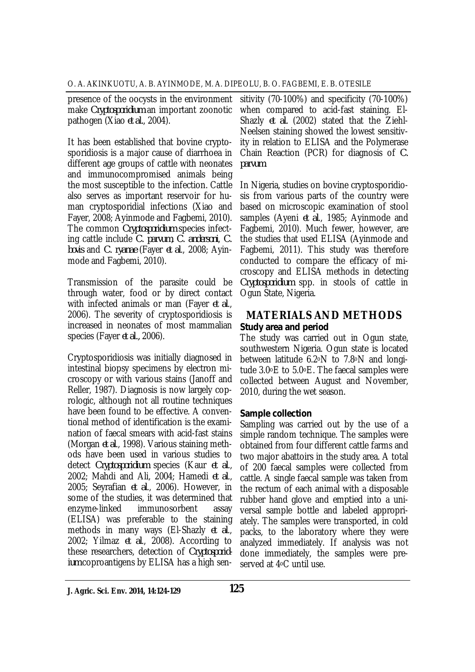presence of the oocysts in the environment make *Cryptosporidium* an important zoonotic pathogen (Xiao *et al.*, 2004).

It has been established that bovine cryptosporidiosis is a major cause of diarrhoea in different age groups of cattle with neonates and immunocompromised animals being the most susceptible to the infection. Cattle also serves as important reservoir for human cryptosporidial infections (Xiao and Fayer, 2008; Ayinmode and Fagbemi, 2010). The common *Cryptosporidium* species infecting cattle include *C. parvum*, *C. andersoni*, *C. bovis* and *C. ryanae* (Fayer *et al*., 2008; Ayinmode and Fagbemi, 2010).

Transmission of the parasite could be through water, food or by direct contact with infected animals or man (Fayer *et al*., 2006). The severity of cryptosporidiosis is increased in neonates of most mammalian species (Fayer *et al.,* 2006).

Cryptosporidiosis was initially diagnosed in intestinal biopsy specimens by electron microscopy or with various stains (Janoff and Reller, 1987). Diagnosis is now largely coprologic, although not all routine techniques have been found to be effective. A conventional method of identification is the examination of faecal smears with acid-fast stains (Morgan *et al*., 1998). Various staining methods have been used in various studies to detect *Cryptosporidium* species (Kaur *et al*., 2002; Mahdi and Ali, 2004; Hamedi *et al*., 2005; Seyrafian *et al*., 2006). However, in some of the studies, it was determined that enzyme-linked immunosorbent assay (ELISA) was preferable to the staining methods in many ways (El-Shazly *et al*., 2002; Yilmaz *et al*., 2008). According to these researchers, detection of *Cryptosporidium* coproantigens by ELISA has a high sen-

sitivity (70-100%) and specificity (70-100%) when compared to acid-fast staining. El-Shazly *et al.* (2002) stated that the Ziehl-Neelsen staining showed the lowest sensitivity in relation to ELISA and the Polymerase Chain Reaction (PCR) for diagnosis of *C. parvum*.

In Nigeria, studies on bovine cryptosporidiosis from various parts of the country were based on microscopic examination of stool samples (Ayeni *et al*., 1985; Ayinmode and Fagbemi, 2010). Much fewer, however, are the studies that used ELISA (Ayinmode and Fagbemi, 2011). This study was therefore conducted to compare the efficacy of microscopy and ELISA methods in detecting *Cryptosporidium* spp. in stools of cattle in Ogun State, Nigeria.

## **MATERIALS AND METHODS** *Study area and period*

The study was carried out in Ogun state, southwestern Nigeria. Ogun state is located between latitude 6.2oN to 7.8oN and longitude 3.0oE to 5.0oE. The faecal samples were collected between August and November, 2010, during the wet season.

#### *Sample collection*

Sampling was carried out by the use of a simple random technique. The samples were obtained from four different cattle farms and two major abattoirs in the study area. A total of 200 faecal samples were collected from cattle. A single faecal sample was taken from the rectum of each animal with a disposable rubber hand glove and emptied into a universal sample bottle and labeled appropriately. The samples were transported, in cold packs, to the laboratory where they were analyzed immediately. If analysis was not done immediately, the samples were preserved at 4oC until use.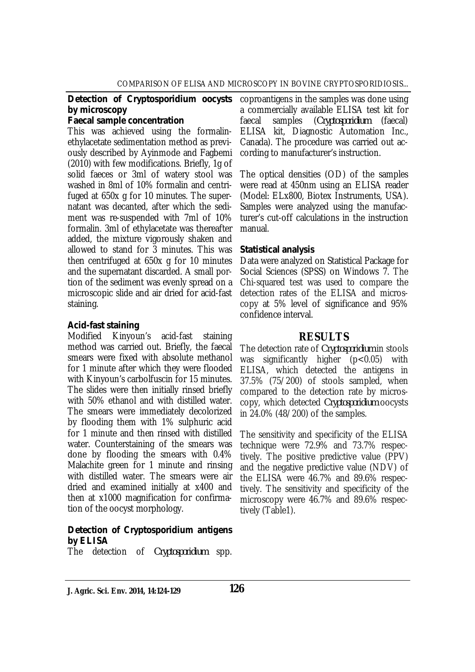# *by microscopy*

#### *Faecal sample concentration*

This was achieved using the formalinethylacetate sedimentation method as previously described by Ayinmode and Fagbemi (2010) with few modifications. Briefly, 1g of solid faeces or 3ml of watery stool was washed in 8ml of 10% formalin and centrifuged at 650x g for 10 minutes. The supernatant was decanted, after which the sediment was re-suspended with 7ml of 10% formalin. 3ml of ethylacetate was thereafter added, the mixture vigorously shaken and allowed to stand for 3 minutes. This was then centrifuged at 650x g for 10 minutes and the supernatant discarded. A small portion of the sediment was evenly spread on a microscopic slide and air dried for acid-fast staining.

#### *Acid-fast staining*

Modified Kinyoun's acid-fast staining method was carried out. Briefly, the faecal smears were fixed with absolute methanol for 1 minute after which they were flooded with Kinyoun's carbolfuscin for 15 minutes. The slides were then initially rinsed briefly with 50% ethanol and with distilled water. The smears were immediately decolorized by flooding them with 1% sulphuric acid for 1 minute and then rinsed with distilled water. Counterstaining of the smears was done by flooding the smears with 0.4% Malachite green for 1 minute and rinsing with distilled water. The smears were air dried and examined initially at x400 and then at x1000 magnification for confirmation of the oocyst morphology.

#### *Detection of Cryptosporidium antigens by ELISA*

The detection of *Cryptosporidium* spp.

**Detection of Cryptosporidium oocysts** coproantigens in the samples was done using a commercially available ELISA test kit for faecal samples (*Cryptosporidium* (faecal) ELISA kit, Diagnostic Automation Inc., Canada). The procedure was carried out according to manufacturer's instruction.

> The optical densities (OD) of the samples were read at 450nm using an ELISA reader (Model: ELx800, Biotex Instruments, USA). Samples were analyzed using the manufacturer's cut-off calculations in the instruction manual.

#### *Statistical analysis*

Data were analyzed on Statistical Package for Social Sciences (SPSS) on Windows 7. The Chi-squared test was used to compare the detection rates of the ELISA and microscopy at 5% level of significance and 95% confidence interval.

#### **RESULTS**

The detection rate of *Cryptosporidium* in stools was significantly higher (p<0.05) with ELISA, which detected the antigens in 37.5% (75/200) of stools sampled, when compared to the detection rate by microscopy, which detected *Cryptosporidium* oocysts in 24.0% (48/200) of the samples.

The sensitivity and specificity of the ELISA technique were 72.9% and 73.7% respectively. The positive predictive value (PPV) and the negative predictive value (NDV) of the ELISA were 46.7% and 89.6% respectively. The sensitivity and specificity of the microscopy were 46.7% and 89.6% respectively (Table1).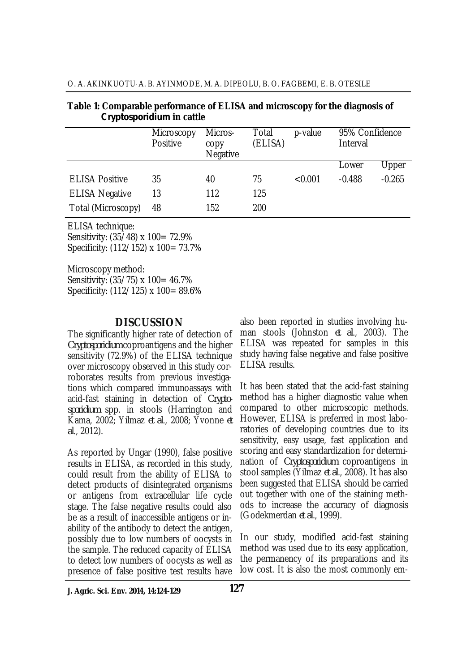| O. A. AKINKUOTU A. B. AYINMODE, M. A. DIPEOLU, B. O. FAGBEMI, E. B. OTESILE |  |
|-----------------------------------------------------------------------------|--|
|-----------------------------------------------------------------------------|--|

| Table 1: Comparable performance of ELISA and microscopy for the diagnosis of |  |
|------------------------------------------------------------------------------|--|
| <i>Cryptosporidium</i> in cattle                                             |  |

|                       | Microscopy<br>Positive | Micros-<br>copy<br>Negative | Total<br>(ELISA) | p-value | 95% Confidence<br>Interval |          |
|-----------------------|------------------------|-----------------------------|------------------|---------|----------------------------|----------|
|                       |                        |                             |                  |         | Lower                      | Upper    |
| <b>ELISA Positive</b> | 35                     | 40                          | 75               | < 0.001 | $-0.488$                   | $-0.265$ |
| <b>ELISA Negative</b> | 13                     | 112                         | 125              |         |                            |          |
| Total (Microscopy)    | 48                     | 152                         | 200              |         |                            |          |

ELISA technique:

Sensitivity: (35/48) x 100= 72.9% Specificity: (112/152) x 100= 73.7%

Microscopy method: Sensitivity: (35/75) x 100= 46.7% Specificity: (112/125) x 100= 89.6%

## **DISCUSSION**

The significantly higher rate of detection of *Cryptosporidium* coproantigens and the higher sensitivity (72.9%) of the ELISA technique over microscopy observed in this study corroborates results from previous investigations which compared immunoassays with acid-fast staining in detection of *Cryptosporidium* spp. in stools (Harrington and Kama, 2002; Yilmaz *et al*., 2008; Yvonne *et al*., 2012).

As reported by Ungar (1990), false positive results in ELISA, as recorded in this study, could result from the ability of ELISA to detect products of disintegrated organisms or antigens from extracellular life cycle stage. The false negative results could also be as a result of inaccessible antigens or inability of the antibody to detect the antigen, possibly due to low numbers of oocysts in the sample. The reduced capacity of ELISA to detect low numbers of oocysts as well as presence of false positive test results have

also been reported in studies involving human stools (Johnston *et al*., 2003). The ELISA was repeated for samples in this study having false negative and false positive ELISA results.

It has been stated that the acid-fast staining method has a higher diagnostic value when compared to other microscopic methods. However, ELISA is preferred in most laboratories of developing countries due to its sensitivity, easy usage, fast application and scoring and easy standardization for determination of *Cryptosporidium* coproantigens in stool samples (Yilmaz *et al*., 2008). It has also been suggested that ELISA should be carried out together with one of the staining methods to increase the accuracy of diagnosis (Godekmerdan *et al*., 1999).

In our study, modified acid-fast staining method was used due to its easy application, the permanency of its preparations and its low cost. It is also the most commonly em-

**J. Agric. Sci. Env. 2014, 14:124-129**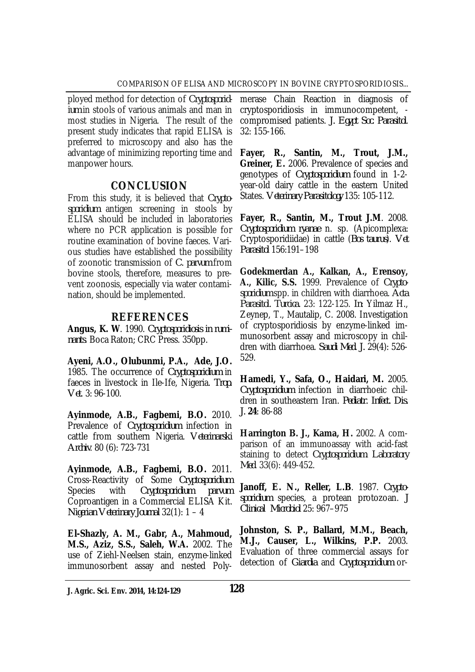ployed method for detection of *Cryptosporidium* in stools of various animals and man in most studies in Nigeria. The result of the present study indicates that rapid ELISA is preferred to microscopy and also has the advantage of minimizing reporting time and manpower hours.

## **CONCLUSION**

From this study, it is believed that *Cryptosporidium* antigen screening in stools by ELISA should be included in laboratories where no PCR application is possible for routine examination of bovine faeces. Various studies have established the possibility of zoonotic transmission of *C. parvum* from bovine stools, therefore, measures to prevent zoonosis, especially via water contamination, should be implemented.

## **REFERENCES**

**Angus, K. W**. 1990. *Cryptosporidiosis in ruminants*. Boca Raton; CRC Press. 350pp.

**Ayeni, A.O., Olubunmi, P.A., Ade, J.O.** 1985. The occurrence of *Cryptosporidium* in faeces in livestock in Ile-Ife, Nigeria. *Trop. Vet*. 3: 96-100.

**Ayinmode, A.B., Fagbemi, B.O.** 2010. Prevalence of *Cryptosporidium* infection in cattle from southern Nigeria. *Veterinarski Archiv*. 80 (6): 723-731

**Ayinmode, A.B., Fagbemi, B.O.** 2011. Cross-Reactivity of Some *Cryptosporidium*  Species with *Cryptosporidium parvum*  Coproantigen in a Commercial ELISA Kit. *Nigerian Veterinary Journal* 32(1): 1 – 4

**El-Shazly, A. M., Gabr, A., Mahmoud, M.S., Aziz, S.S., Saleh, W.A.** 2002. The use of Ziehl-Neelsen stain, enzyme-linked immunosorbent assay and nested Poly-

merase Chain Reaction in diagnosis of cryptosporidiosis in immunocompetent, compromised patients. *J. Egypt Soc. Parasitol*. 32: 155-166.

**Fayer, R., Santin, M., Trout, J.M., Greiner, E.** 2006. Prevalence of species and genotypes of *Cryptosporidium* found in 1-2 year-old dairy cattle in the eastern United States. *Veterinary Parasitology* 135: 105-112.

**Fayer, R., Santin, M., Trout J.M**. 2008. *Cryptosporidium ryanae* n. sp. (Apicomplexa: Cryptosporidiidae) in cattle (*Bos taurus*). *Vet Parasitol* 156:191–198

**Godekmerdan A., Kalkan, A., Erensoy, A., Kilic, S.S.** 1999. Prevalence of *Cryptosporidium* spp. in children with diarrhoea. *Acta Parasitol. Turcica.* 23: 122-125. *In*: Yilmaz H., Zeynep, T., Mautalip, C. 2008. Investigation of cryptosporidiosis by enzyme-linked immunosorbent assay and microscopy in children with diarrhoea. *Saudi Med. J.* 29(4): 526- 529.

**Hamedi, Y., Safa, O., Haidari, M.** 2005. *Cryptosporidium* infection in diarrhoeic children in southeastern Iran. *Pediatr. Infect. Dis. J.* **24**: 86-88

**Harrington B. J., Kama, H.** 2002. A comparison of an immunoassay with acid-fast staining to detect *Cryptosporidium*. *Laboratory Med*. 33(6): 449-452.

**Janoff, E. N., Reller, L.B**. 1987. *Cryptosporidium* species, a protean protozoan. *J Clinical Microbiol* 25: 967–975

**Johnston, S. P., Ballard, M.M., Beach, M.J., Causer, L., Wilkins, P.P.** 2003. Evaluation of three commercial assays for detection of *Giardia* and *Cryptosporidium* or-

**J. Agric. Sci. Env. 2014, 14:124-129 128**